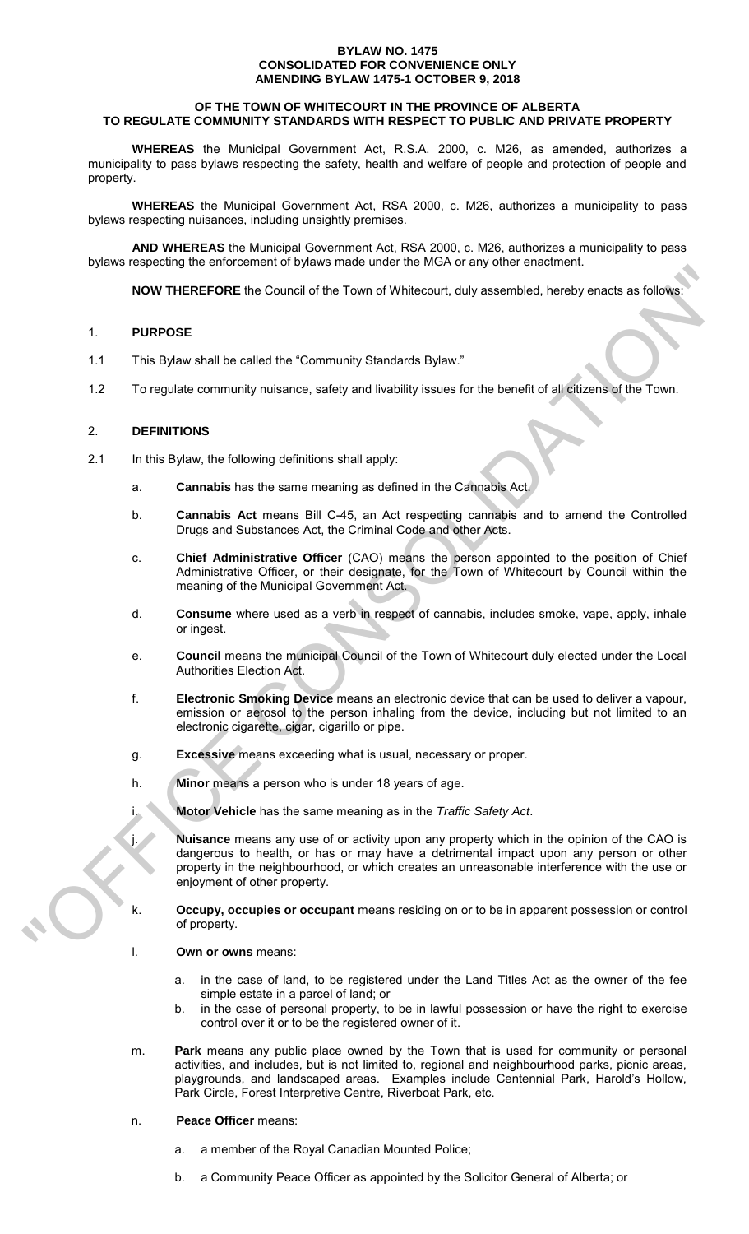### **BYLAW NO. 1475 CONSOLIDATED FOR CONVENIENCE ONLY AMENDING BYLAW 1475-1 OCTOBER 9, 2018**

## **OF THE TOWN OF WHITECOURT IN THE PROVINCE OF ALBERTA TO REGULATE COMMUNITY STANDARDS WITH RESPECT TO PUBLIC AND PRIVATE PROPERTY**

**WHEREAS** the Municipal Government Act, R.S.A. 2000, c. M26, as amended, authorizes a municipality to pass bylaws respecting the safety, health and welfare of people and protection of people and property.

**WHEREAS** the Municipal Government Act, RSA 2000, c. M26, authorizes a municipality to pass bylaws respecting nuisances, including unsightly premises.

**AND WHEREAS** the Municipal Government Act, RSA 2000, c. M26, authorizes a municipality to pass bylaws respecting the enforcement of bylaws made under the MGA or any other enactment.

**NOW THEREFORE** the Council of the Town of Whitecourt, duly assembled, hereby enacts as follows:

## 1. **PURPOSE**

- 1.1 This Bylaw shall be called the "Community Standards Bylaw."
- 1.2 To regulate community nuisance, safety and livability issues for the benefit of all citizens of the Town.

## 2. **DEFINITIONS**

- 2.1 In this Bylaw, the following definitions shall apply:
	- a. **Cannabis** has the same meaning as defined in the Cannabis Act.
	- b. **Cannabis Act** means Bill C-45, an Act respecting cannabis and to amend the Controlled Drugs and Substances Act, the Criminal Code and other Acts.
	- c. **Chief Administrative Officer** (CAO) means the person appointed to the position of Chief Administrative Officer, or their designate, for the Town of Whitecourt by Council within the meaning of the Municipal Government Act.
	- d. **Consume** where used as a verb in respect of cannabis, includes smoke, vape, apply, inhale or ingest.
	- e. **Council** means the municipal Council of the Town of Whitecourt duly elected under the Local Authorities Election Act.
	- f. **Electronic Smoking Device** means an electronic device that can be used to deliver a vapour, emission or aerosol to the person inhaling from the device, including but not limited to an electronic cigarette, cigar, cigarillo or pipe.
	- g. **Excessive** means exceeding what is usual, necessary or proper.
	- h. **Minor** means a person who is under 18 years of age.
	- i. **Motor Vehicle** has the same meaning as in the *Traffic Safety Act*.

j. **Nuisance** means any use of or activity upon any property which in the opinion of the CAO is dangerous to health, or has or may have a detrimental impact upon any person or other property in the neighbourhood, or which creates an unreasonable interference with the use or enjoyment of other property. MANY THEREFORE the Council of the Town of Whitesouri, duly assembled, hereby enacts as follows:<br>
1. PURPOSE<br>
1. This pytaw shall be called the "Community Sigmidates Bytaw."<br>
1.2 To regulate community muisance, safety and l

**Occupy, occupies or occupant** means residing on or to be in apparent possession or control of property.

- l. **Own or owns** means:
	- a. in the case of land, to be registered under the Land Titles Act as the owner of the fee simple estate in a parcel of land; or
	- b. in the case of personal property, to be in lawful possession or have the right to exercise control over it or to be the registered owner of it.
- m. **Park** means any public place owned by the Town that is used for community or personal activities, and includes, but is not limited to, regional and neighbourhood parks, picnic areas, playgrounds, and landscaped areas. Examples include Centennial Park, Harold's Hollow, Park Circle, Forest Interpretive Centre, Riverboat Park, etc.

## n. **Peace Officer** means:

- a. a member of the Royal Canadian Mounted Police;
- b. a Community Peace Officer as appointed by the Solicitor General of Alberta; or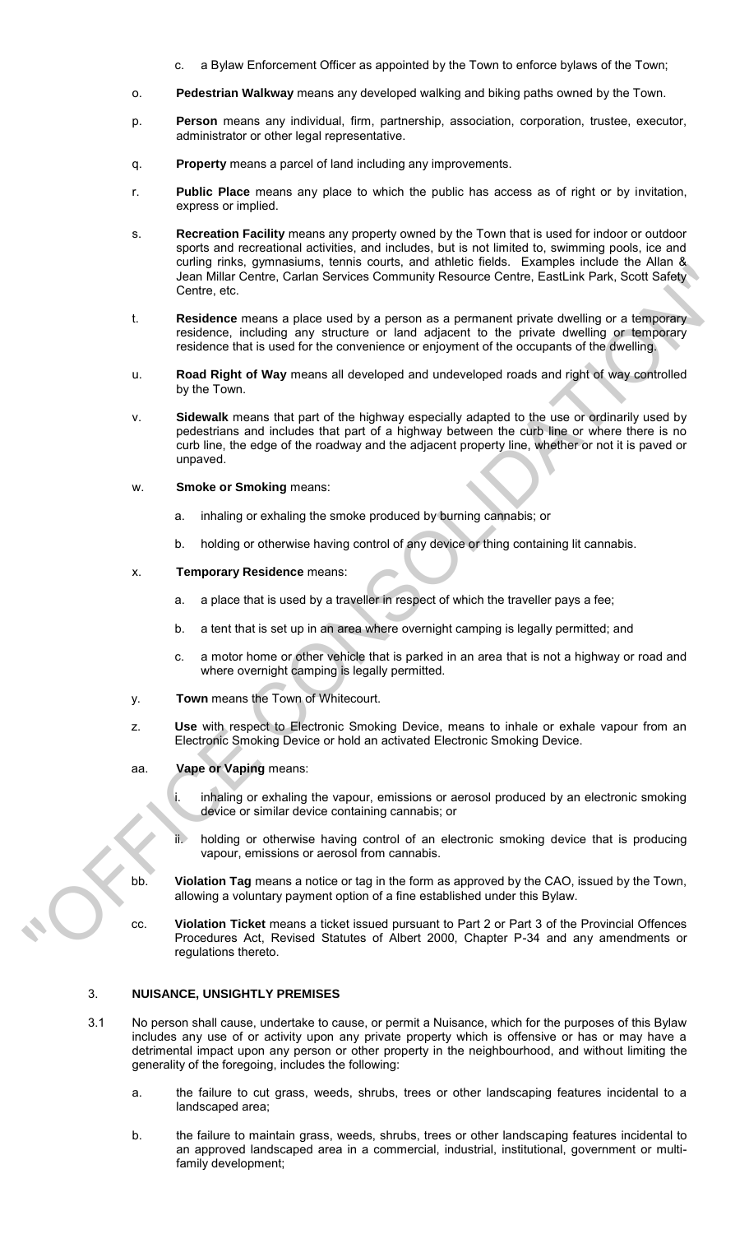- a Bylaw Enforcement Officer as appointed by the Town to enforce bylaws of the Town;
- o. **Pedestrian Walkway** means any developed walking and biking paths owned by the Town.
- p. **Person** means any individual, firm, partnership, association, corporation, trustee, executor, administrator or other legal representative.
- q. **Property** means a parcel of land including any improvements.
- r. **Public Place** means any place to which the public has access as of right or by invitation, express or implied.
- s. **Recreation Facility** means any property owned by the Town that is used for indoor or outdoor sports and recreational activities, and includes, but is not limited to, swimming pools, ice and curling rinks, gymnasiums, tennis courts, and athletic fields. Examples include the Allan & Jean Millar Centre, Carlan Services Community Resource Centre, EastLink Park, Scott Safety Centre, etc.
- t. **Residence** means a place used by a person as a permanent private dwelling or a temporary residence, including any structure or land adjacent to the private dwelling or temporary residence that is used for the convenience or enjoyment of the occupants of the dwelling.
- u. **Road Right of Way** means all developed and undeveloped roads and right of way controlled by the Town.
- v. **Sidewalk** means that part of the highway especially adapted to the use or ordinarily used by pedestrians and includes that part of a highway between the curb line or where there is no curb line, the edge of the roadway and the adjacent property line, whether or not it is paved or unpaved. Contract Contract Contract Contract Contract Contract Contract Contract Contract Contract Contract Contract Contract Contract Contract Contract Contract Contract Contract Contract Contract Contract Contract Contract Contra
	- w. **Smoke or Smoking** means:
		- a. inhaling or exhaling the smoke produced by burning cannabis; or
		- b. holding or otherwise having control of any device or thing containing lit cannabis.
	- x. **Temporary Residence** means:
		- a. a place that is used by a traveller in respect of which the traveller pays a fee;
		- b. a tent that is set up in an area where overnight camping is legally permitted; and
		- c. a motor home or other vehicle that is parked in an area that is not a highway or road and where overnight camping is legally permitted.
	- y. **Town** means the Town of Whitecourt.
	- z. **Use** with respect to Electronic Smoking Device, means to inhale or exhale vapour from an Electronic Smoking Device or hold an activated Electronic Smoking Device.
	- aa. **Vape or Vaping** means:
		- i. inhaling or exhaling the vapour, emissions or aerosol produced by an electronic smoking device or similar device containing cannabis; or
		- holding or otherwise having control of an electronic smoking device that is producing vapour, emissions or aerosol from cannabis.
	- bb. **Violation Tag** means a notice or tag in the form as approved by the CAO, issued by the Town, allowing a voluntary payment option of a fine established under this Bylaw.
	- cc. **Violation Ticket** means a ticket issued pursuant to Part 2 or Part 3 of the Provincial Offences Procedures Act, Revised Statutes of Albert 2000, Chapter P-34 and any amendments or regulations thereto.

# 3. **NUISANCE, UNSIGHTLY PREMISES**

- 3.1 No person shall cause, undertake to cause, or permit a Nuisance, which for the purposes of this Bylaw includes any use of or activity upon any private property which is offensive or has or may have a detrimental impact upon any person or other property in the neighbourhood, and without limiting the generality of the foregoing, includes the following:
	- a. the failure to cut grass, weeds, shrubs, trees or other landscaping features incidental to a landscaped area;
	- b. the failure to maintain grass, weeds, shrubs, trees or other landscaping features incidental to an approved landscaped area in a commercial, industrial, institutional, government or multifamily development;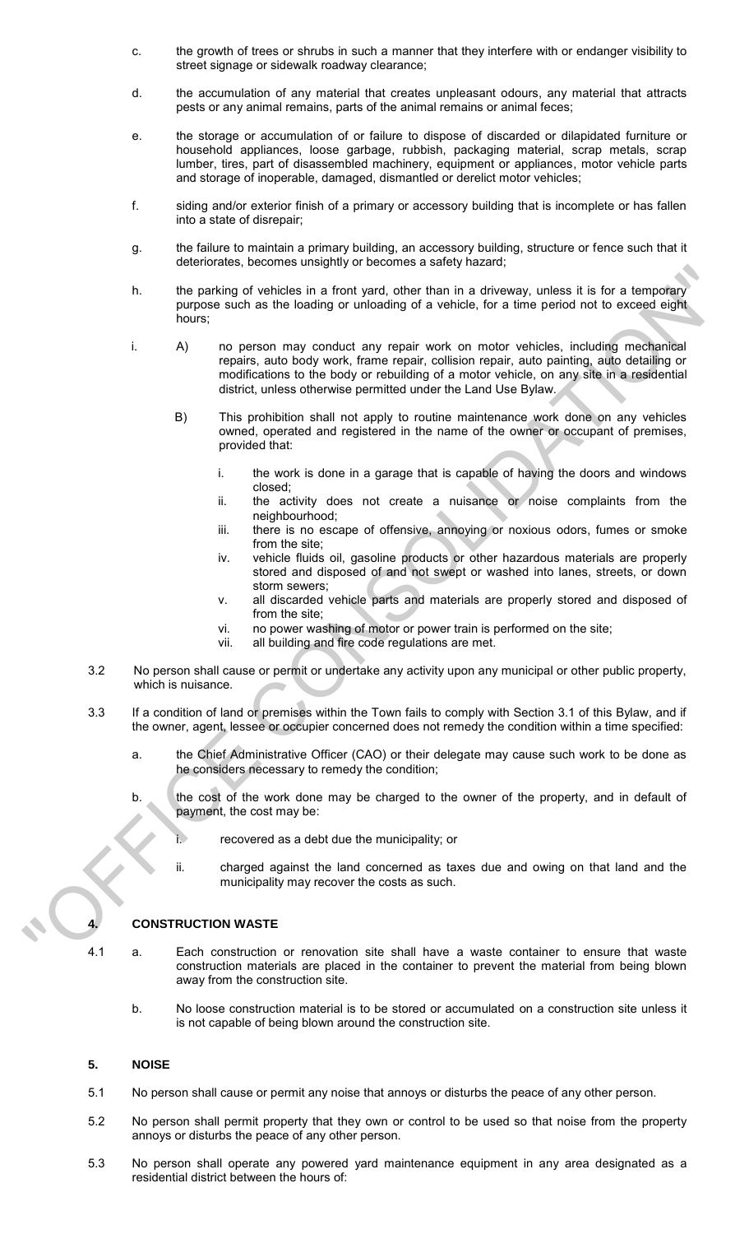- c. the growth of trees or shrubs in such a manner that they interfere with or endanger visibility to street signage or sidewalk roadway clearance;
- d. the accumulation of any material that creates unpleasant odours, any material that attracts pests or any animal remains, parts of the animal remains or animal feces;
- e. the storage or accumulation of or failure to dispose of discarded or dilapidated furniture or household appliances, loose garbage, rubbish, packaging material, scrap metals, scrap lumber, tires, part of disassembled machinery, equipment or appliances, motor vehicle parts and storage of inoperable, damaged, dismantled or derelict motor vehicles;
- f. siding and/or exterior finish of a primary or accessory building that is incomplete or has fallen into a state of disrepair;
- g. the failure to maintain a primary building, an accessory building, structure or fence such that it deteriorates, becomes unsightly or becomes a safety hazard;
- h. the parking of vehicles in a front yard, other than in a driveway, unless it is for a temporary purpose such as the loading or unloading of a vehicle, for a time period not to exceed eight hours;
- i. A) no person may conduct any repair work on motor vehicles, including mechanical repairs, auto body work, frame repair, collision repair, auto painting, auto detailing or modifications to the body or rebuilding of a motor vehicle, on any site in a residential district, unless otherwise permitted under the Land Use Bylaw. the parking of vehicles in a fort yard, other than in a diveway, unless it is for a temporary<br>process color is the basting or unloading of a vehicle, for a time period not to exceed objet<br>hears:<br>
A) no person may conduct m
	- B) This prohibition shall not apply to routine maintenance work done on any vehicles owned, operated and registered in the name of the owner or occupant of premises, provided that:
		- i. the work is done in a garage that is capable of having the doors and windows closed;
		- ii. the activity does not create a nuisance or noise complaints from the neighbourhood;
		- iii. there is no escape of offensive, annoying or noxious odors, fumes or smoke from the site;
		- iv. vehicle fluids oil, gasoline products or other hazardous materials are properly stored and disposed of and not swept or washed into lanes, streets, or down storm sewers;
		- v. all discarded vehicle parts and materials are properly stored and disposed of from the site;
		- vi. no power washing of motor or power train is performed on the site;<br>vii. all building and fire code regulations are met.
		- all building and fire code regulations are met.
	- 3.2 No person shall cause or permit or undertake any activity upon any municipal or other public property, which is nuisance.
	- 3.3 If a condition of land or premises within the Town fails to comply with Section 3.1 of this Bylaw, and if the owner, agent, lessee or occupier concerned does not remedy the condition within a time specified:
		- a. the Chief Administrative Officer (CAO) or their delegate may cause such work to be done as he considers necessary to remedy the condition;
		- b. the cost of the work done may be charged to the owner of the property, and in default of payment, the cost may be:
			- recovered as a debt due the municipality; or
			- ii. charged against the land concerned as taxes due and owing on that land and the municipality may recover the costs as such.

## **4. CONSTRUCTION WASTE**

- 4.1 a. Each construction or renovation site shall have a waste container to ensure that waste construction materials are placed in the container to prevent the material from being blown away from the construction site.
	- b. No loose construction material is to be stored or accumulated on a construction site unless it is not capable of being blown around the construction site.

## **5. NOISE**

- 5.1 No person shall cause or permit any noise that annoys or disturbs the peace of any other person.
- 5.2 No person shall permit property that they own or control to be used so that noise from the property annoys or disturbs the peace of any other person.
- 5.3 No person shall operate any powered yard maintenance equipment in any area designated as a residential district between the hours of: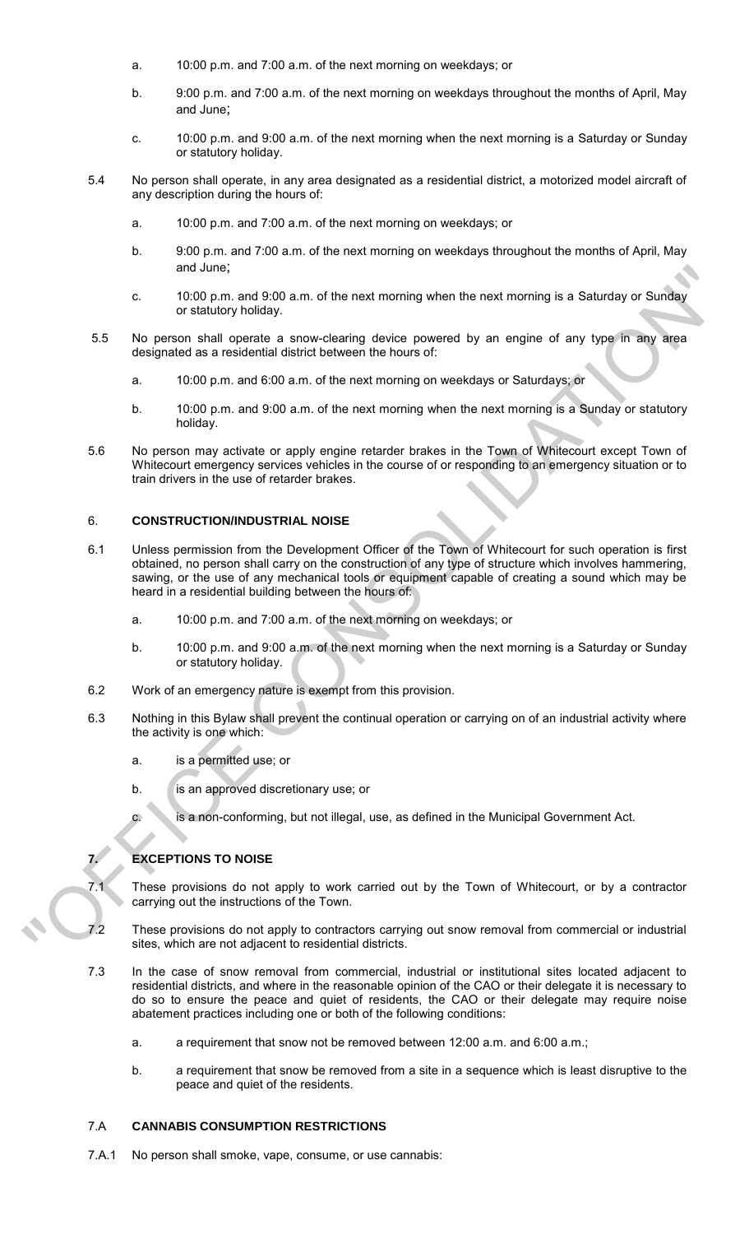- a. 10:00 p.m. and 7:00 a.m. of the next morning on weekdays; or
- b. 9:00 p.m. and 7:00 a.m. of the next morning on weekdays throughout the months of April, May and June;
- c. 10:00 p.m. and 9:00 a.m. of the next morning when the next morning is a Saturday or Sunday or statutory holiday.
- 5.4 No person shall operate, in any area designated as a residential district, a motorized model aircraft of any description during the hours of:
	- a. 10:00 p.m. and 7:00 a.m. of the next morning on weekdays; or
	- b. 9:00 p.m. and 7:00 a.m. of the next morning on weekdays throughout the months of April, May and June;
	- c. 10:00 p.m. and 9:00 a.m. of the next morning when the next morning is a Saturday or Sunday or statutory holiday.
- 5.5 No person shall operate a snow-clearing device powered by an engine of any type in any area designated as a residential district between the hours of:
	- a. 10:00 p.m. and 6:00 a.m. of the next morning on weekdays or Saturdays; or
	- b. 10:00 p.m. and 9:00 a.m. of the next morning when the next morning is a Sunday or statutory holiday.
- 5.6 No person may activate or apply engine retarder brakes in the Town of Whitecourt except Town of Whitecourt emergency services vehicles in the course of or responding to an emergency situation or to train drivers in the use of retarder brakes.

### 6. **CONSTRUCTION/INDUSTRIAL NOISE**

- 6.1 Unless permission from the Development Officer of the Town of Whitecourt for such operation is first obtained, no person shall carry on the construction of any type of structure which involves hammering, sawing, or the use of any mechanical tools or equipment capable of creating a sound which may be heard in a residential building between the hours of: and Units are a studient to the next morning when the next morning is a Saturday or Suiday<br>
or stationy holiday.<br>
You see that dogetical convection going covered by an origino of any type in any area<br>
designated as a resid
	- a. 10:00 p.m. and 7:00 a.m. of the next morning on weekdays; or
	- b. 10:00 p.m. and 9:00 a.m. of the next morning when the next morning is a Saturday or Sunday or statutory holiday.
	- 6.2 Work of an emergency nature is exempt from this provision.
	- 6.3 Nothing in this Bylaw shall prevent the continual operation or carrying on of an industrial activity where the activity is one which:
		- a. is a permitted use; or
		- b. is an approved discretionary use; or
		- c. is a non-conforming, but not illegal, use, as defined in the Municipal Government Act.

## **7. EXCEPTIONS TO NOISE**

- 7.1 These provisions do not apply to work carried out by the Town of Whitecourt, or by a contractor carrying out the instructions of the Town.
- 7.2 These provisions do not apply to contractors carrying out snow removal from commercial or industrial sites, which are not adjacent to residential districts.
- 7.3 In the case of snow removal from commercial, industrial or institutional sites located adjacent to residential districts, and where in the reasonable opinion of the CAO or their delegate it is necessary to do so to ensure the peace and quiet of residents, the CAO or their delegate may require noise abatement practices including one or both of the following conditions:
	- a. a requirement that snow not be removed between 12:00 a.m. and 6:00 a.m.;
	- b. a requirement that snow be removed from a site in a sequence which is least disruptive to the peace and quiet of the residents.

## 7.A **CANNABIS CONSUMPTION RESTRICTIONS**

7.A.1 No person shall smoke, vape, consume, or use cannabis: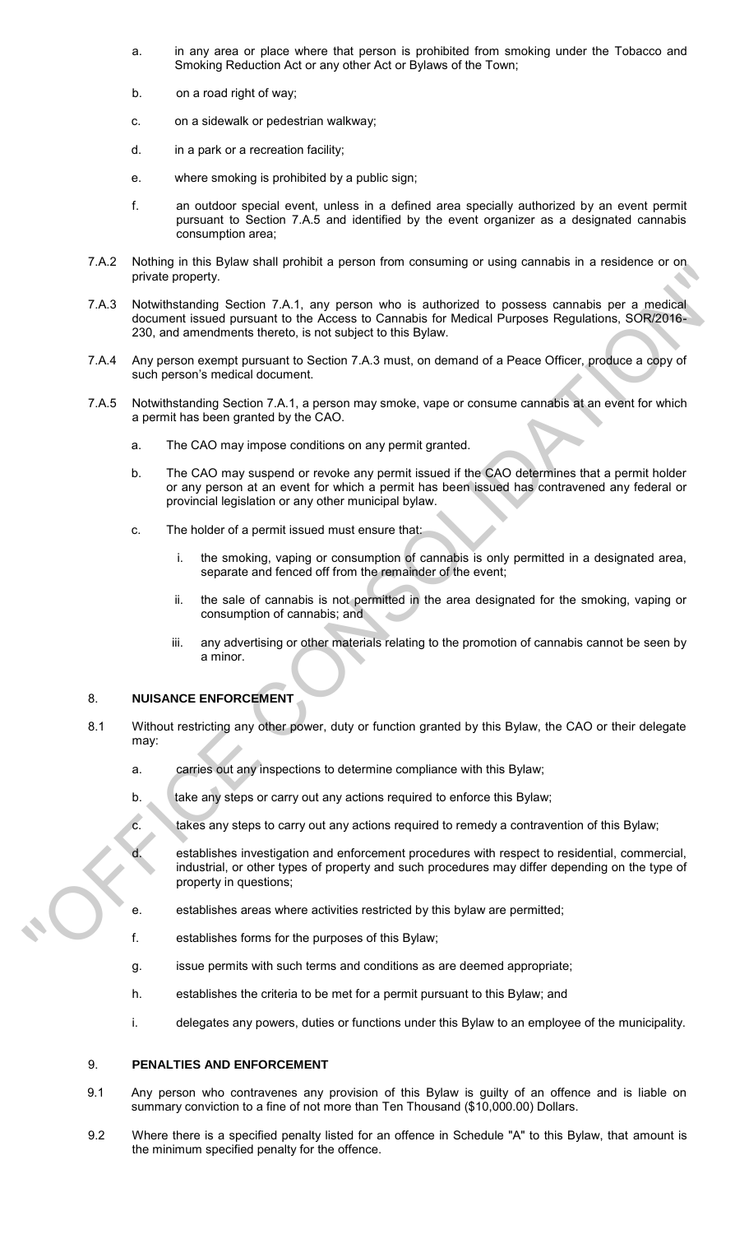- a. in any area or place where that person is prohibited from smoking under the Tobacco and Smoking Reduction Act or any other Act or Bylaws of the Town;
- b. on a road right of way;
- c. on a sidewalk or pedestrian walkway;
- d. in a park or a recreation facility;
- e. where smoking is prohibited by a public sign;
- f. an outdoor special event, unless in a defined area specially authorized by an event permit pursuant to Section 7.A.5 and identified by the event organizer as a designated cannabis consumption area;
- 7.A.2 Nothing in this Bylaw shall prohibit a person from consuming or using cannabis in a residence or on private property.
- 7.A.3 Notwithstanding Section 7.A.1, any person who is authorized to possess cannabis per a medical document issued pursuant to the Access to Cannabis for Medical Purposes Regulations, SOR/2016- 230, and amendments thereto, is not subject to this Bylaw. The monetary and the positive of the section of the section of the section of the section of the section of the section of the section of the section of the section of the section of the section of the section of the secti
	- 7.A.4 Any person exempt pursuant to Section 7.A.3 must, on demand of a Peace Officer, produce a copy of such person's medical document.
	- 7.A.5 Notwithstanding Section 7.A.1, a person may smoke, vape or consume cannabis at an event for which a permit has been granted by the CAO.
		- a. The CAO may impose conditions on any permit granted.
		- b. The CAO may suspend or revoke any permit issued if the CAO determines that a permit holder or any person at an event for which a permit has been issued has contravened any federal or provincial legislation or any other municipal bylaw.
		- c. The holder of a permit issued must ensure that:
			- i. the smoking, vaping or consumption of cannabis is only permitted in a designated area, separate and fenced off from the remainder of the event;
			- ii. the sale of cannabis is not permitted in the area designated for the smoking, vaping or consumption of cannabis; and
			- iii. any advertising or other materials relating to the promotion of cannabis cannot be seen by a minor.

## 8. **NUISANCE ENFORCEMENT**

- 8.1 Without restricting any other power, duty or function granted by this Bylaw, the CAO or their delegate may:
	- a. carries out any inspections to determine compliance with this Bylaw;
	- b. take any steps or carry out any actions required to enforce this Bylaw;
	- c. takes any steps to carry out any actions required to remedy a contravention of this Bylaw;

d. establishes investigation and enforcement procedures with respect to residential, commercial, industrial, or other types of property and such procedures may differ depending on the type of property in questions;

- e. establishes areas where activities restricted by this bylaw are permitted;
- f. establishes forms for the purposes of this Bylaw;
- g. issue permits with such terms and conditions as are deemed appropriate;
- h. establishes the criteria to be met for a permit pursuant to this Bylaw; and
- i. delegates any powers, duties or functions under this Bylaw to an employee of the municipality.

## 9. **PENALTIES AND ENFORCEMENT**

- 9.1 Any person who contravenes any provision of this Bylaw is guilty of an offence and is liable on summary conviction to a fine of not more than Ten Thousand (\$10,000.00) Dollars.
- 9.2 Where there is a specified penalty listed for an offence in Schedule "A" to this Bylaw, that amount is the minimum specified penalty for the offence.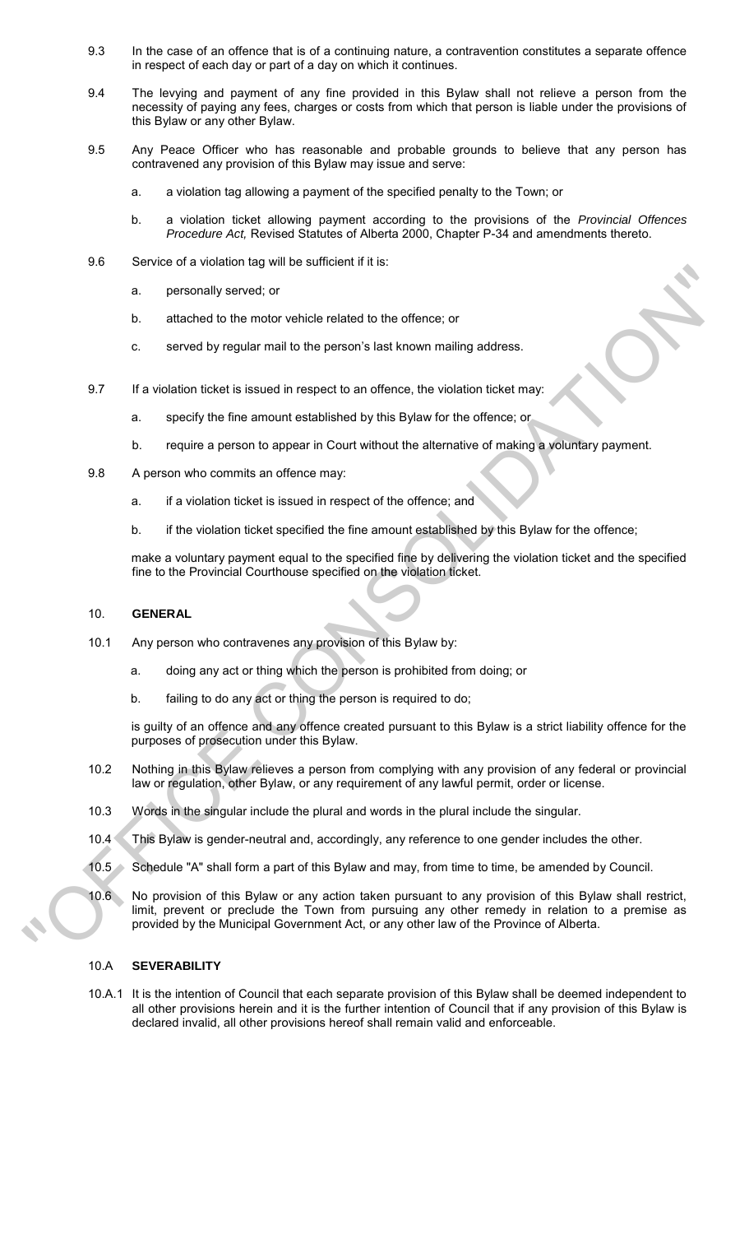- 9.3 In the case of an offence that is of a continuing nature, a contravention constitutes a separate offence in respect of each day or part of a day on which it continues.
- 9.4 The levying and payment of any fine provided in this Bylaw shall not relieve a person from the necessity of paying any fees, charges or costs from which that person is liable under the provisions of this Bylaw or any other Bylaw.
- 9.5 Any Peace Officer who has reasonable and probable grounds to believe that any person has contravened any provision of this Bylaw may issue and serve:
	- a. a violation tag allowing a payment of the specified penalty to the Town; or
	- b. a violation ticket allowing payment according to the provisions of the *Provincial Offences Procedure Act,* Revised Statutes of Alberta 2000, Chapter P-34 and amendments thereto.
- 9.6 Service of a violation tag will be sufficient if it is:
	- a. personally served; or
	- b. attached to the motor vehicle related to the offence; or
	- c. served by regular mail to the person's last known mailing address.
- 9.7 If a violation ticket is issued in respect to an offence, the violation ticket may:
	- a. specify the fine amount established by this Bylaw for the offence; or
	- b. require a person to appear in Court without the alternative of making a voluntary payment.
- 9.8 A person who commits an offence may:
	- a. if a violation ticket is issued in respect of the offence; and
	- b. if the violation ticket specified the fine amount established by this Bylaw for the offence;

make a voluntary payment equal to the specified fine by delivering the violation ticket and the specified fine to the Provincial Courthouse specified on the violation ticket.

### 10. **GENERAL**

- 10.1 Any person who contravenes any provision of this Bylaw by:
	- a. doing any act or thing which the person is prohibited from doing; or
	- b. failing to do any act or thing the person is required to do;

is guilty of an offence and any offence created pursuant to this Bylaw is a strict liability offence for the purposes of prosecution under this Bylaw.

- 10.2 Nothing in this Bylaw relieves a person from complying with any provision of any federal or provincial law or regulation, other Bylaw, or any requirement of any lawful permit, order or license.
- 10.3 Words in the singular include the plural and words in the plural include the singular.
- 10.4 This Bylaw is gender-neutral and, accordingly, any reference to one gender includes the other.
- 10.5 Schedule "A" shall form a part of this Bylaw and may, from time to time, be amended by Council.
- 10.6 No provision of this Bylaw or any action taken pursuant to any provision of this Bylaw shall restrict, limit, prevent or preclude the Town from pursuing any other remedy in relation to a premise as provided by the Municipal Government Act, or any other law of the Province of Alberta. once the nontrollar standard in the the standard in the standard in the standard of the most of the standard by regular mail to the person's last known mailing address.<br>
9. If a violation stock is issued in respect to an

### 10.A **SEVERABILITY**

10.A.1 It is the intention of Council that each separate provision of this Bylaw shall be deemed independent to all other provisions herein and it is the further intention of Council that if any provision of this Bylaw is declared invalid, all other provisions hereof shall remain valid and enforceable.